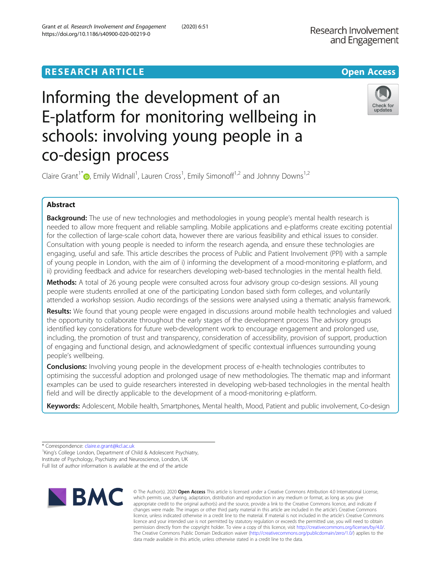# Informing the development of an E-platform for monitoring wellbeing in schools: involving young people in a co-design process



Claire Grant<sup>1[\\*](http://orcid.org/0000-0002-1545-6428)</sup>  $\bullet$ , Emily Widnall<sup>1</sup>, Lauren Cross<sup>1</sup>, Emily Simonoff<sup>1,2</sup> and Johnny Downs<sup>1,2</sup>

# Abstract

Background: The use of new technologies and methodologies in young people's mental health research is needed to allow more frequent and reliable sampling. Mobile applications and e-platforms create exciting potential for the collection of large-scale cohort data, however there are various feasibility and ethical issues to consider. Consultation with young people is needed to inform the research agenda, and ensure these technologies are engaging, useful and safe. This article describes the process of Public and Patient Involvement (PPI) with a sample of young people in London, with the aim of i) informing the development of a mood-monitoring e-platform, and ii) providing feedback and advice for researchers developing web-based technologies in the mental health field.

Methods: A total of 26 young people were consulted across four advisory group co-design sessions. All young people were students enrolled at one of the participating London based sixth form colleges, and voluntarily attended a workshop session. Audio recordings of the sessions were analysed using a thematic analysis framework.

Results: We found that young people were engaged in discussions around mobile health technologies and valued the opportunity to collaborate throughout the early stages of the development process The advisory groups identified key considerations for future web-development work to encourage engagement and prolonged use, including, the promotion of trust and transparency, consideration of accessibility, provision of support, production of engaging and functional design, and acknowledgment of specific contextual influences surrounding young people's wellbeing.

**Conclusions:** Involving young people in the development process of e-health technologies contributes to optimising the successful adoption and prolonged usage of new methodologies. The thematic map and informant examples can be used to guide researchers interested in developing web-based technologies in the mental health field and will be directly applicable to the development of a mood-monitoring e-platform.

Keywords: Adolescent, Mobile health, Smartphones, Mental health, Mood, Patient and public involvement, Co-design

\* Correspondence: [claire.e.grant@kcl.ac.uk](mailto:claire.e.grant@kcl.ac.uk) <sup>1</sup>

<sup>1</sup>King's College London, Department of Child & Adolescent Psychiatry, Institute of Psychology, Psychiatry and Neuroscience, London, UK Full list of author information is available at the end of the article



© The Author(s), 2020 **Open Access** This article is licensed under a Creative Commons Attribution 4.0 International License, which permits use, sharing, adaptation, distribution and reproduction in any medium or format, as long as you give appropriate credit to the original author(s) and the source, provide a link to the Creative Commons licence, and indicate if changes were made. The images or other third party material in this article are included in the article's Creative Commons licence, unless indicated otherwise in a credit line to the material. If material is not included in the article's Creative Commons licence and your intended use is not permitted by statutory regulation or exceeds the permitted use, you will need to obtain permission directly from the copyright holder. To view a copy of this licence, visit [http://creativecommons.org/licenses/by/4.0/.](http://creativecommons.org/licenses/by/4.0/) The Creative Commons Public Domain Dedication waiver [\(http://creativecommons.org/publicdomain/zero/1.0/](http://creativecommons.org/publicdomain/zero/1.0/)) applies to the data made available in this article, unless otherwise stated in a credit line to the data.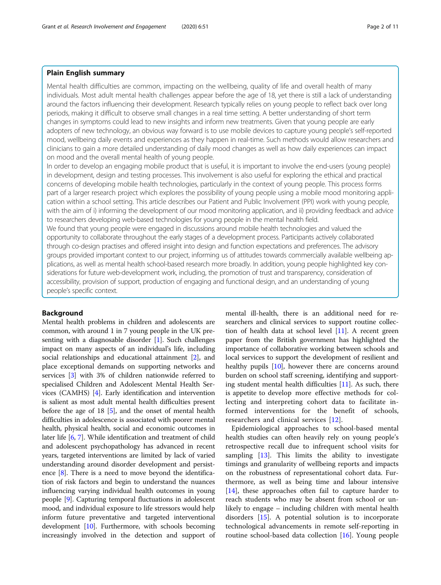# Plain English summary

Mental health difficulties are common, impacting on the wellbeing, quality of life and overall health of many individuals. Most adult mental health challenges appear before the age of 18, yet there is still a lack of understanding around the factors influencing their development. Research typically relies on young people to reflect back over long periods, making it difficult to observe small changes in a real time setting. A better understanding of short term changes in symptoms could lead to new insights and inform new treatments. Given that young people are early adopters of new technology, an obvious way forward is to use mobile devices to capture young people's self-reported mood, wellbeing daily events and experiences as they happen in real-time. Such methods would allow researchers and clinicians to gain a more detailed understanding of daily mood changes as well as how daily experiences can impact on mood and the overall mental health of young people.

In order to develop an engaging mobile product that is useful, it is important to involve the end-users (young people) in development, design and testing processes. This involvement is also useful for exploring the ethical and practical concerns of developing mobile health technologies, particularly in the context of young people. This process forms part of a larger research project which explores the possibility of young people using a mobile mood monitoring application within a school setting. This article describes our Patient and Public Involvement (PPI) work with young people, with the aim of i) informing the development of our mood monitoring application, and ii) providing feedback and advice to researchers developing web-based technologies for young people in the mental health field. We found that young people were engaged in discussions around mobile health technologies and valued the opportunity to collaborate throughout the early stages of a development process. Participants actively collaborated through co-design practises and offered insight into design and function expectations and preferences. The advisory groups provided important context to our project, informing us of attitudes towards commercially available wellbeing applications, as well as mental health school-based research more broadly. In addition, young people highlighted key considerations for future web-development work, including, the promotion of trust and transparency, consideration of accessibility, provision of support, production of engaging and functional design, and an understanding of young people's specific context.

#### Background

Mental health problems in children and adolescents are common, with around 1 in 7 young people in the UK presenting with a diagnosable disorder [\[1](#page-9-0)]. Such challenges impact on many aspects of an individual's life, including social relationships and educational attainment [[2\]](#page-9-0), and place exceptional demands on supporting networks and services [\[3](#page-9-0)] with 3% of children nationwide referred to specialised Children and Adolescent Mental Health Services (CAMHS) [\[4\]](#page-9-0). Early identification and intervention is salient as most adult mental health difficulties present before the age of  $18 \, [5]$  $18 \, [5]$ , and the onset of mental health difficulties in adolescence is associated with poorer mental health, physical health, social and economic outcomes in later life [\[6](#page-9-0), [7\]](#page-9-0). While identification and treatment of child and adolescent psychopathology has advanced in recent years, targeted interventions are limited by lack of varied understanding around disorder development and persistence [[8\]](#page-9-0). There is a need to move beyond the identification of risk factors and begin to understand the nuances influencing varying individual health outcomes in young people [[9\]](#page-9-0). Capturing temporal fluctuations in adolescent mood, and individual exposure to life stressors would help inform future preventative and targeted interventional development [\[10\]](#page-9-0). Furthermore, with schools becoming increasingly involved in the detection and support of mental ill-health, there is an additional need for researchers and clinical services to support routine collection of health data at school level [\[11\]](#page-9-0). A recent green paper from the British government has highlighted the importance of collaborative working between schools and local services to support the development of resilient and healthy pupils [\[10\]](#page-9-0), however there are concerns around burden on school staff screening, identifying and supporting student mental health difficulties  $[11]$  $[11]$ . As such, there is appetite to develop more effective methods for collecting and interpreting cohort data to facilitate informed interventions for the benefit of schools, researchers and clinical services [[12\]](#page-9-0).

Epidemiological approaches to school-based mental health studies can often heavily rely on young people's retrospective recall due to infrequent school visits for sampling  $[13]$  $[13]$  $[13]$ . This limits the ability to investigate timings and granularity of wellbeing reports and impacts on the robustness of representational cohort data. Furthermore, as well as being time and labour intensive [[14\]](#page-9-0), these approaches often fail to capture harder to reach students who may be absent from school or unlikely to engage – including children with mental health disorders [\[15\]](#page-9-0). A potential solution is to incorporate technological advancements in remote self-reporting in routine school-based data collection [\[16](#page-9-0)]. Young people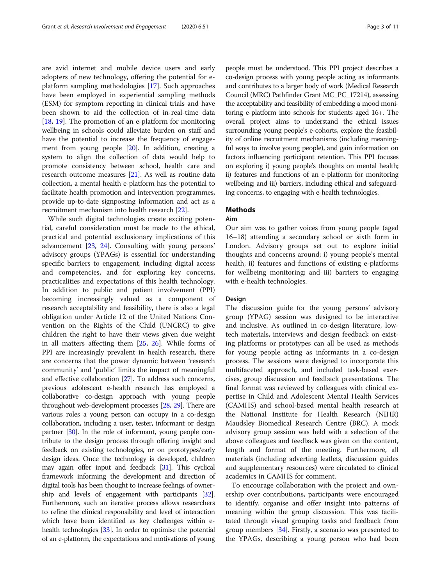are avid internet and mobile device users and early adopters of new technology, offering the potential for eplatform sampling methodologies [\[17](#page-9-0)]. Such approaches have been employed in experiential sampling methods (ESM) for symptom reporting in clinical trials and have been shown to aid the collection of in-real-time data [[18,](#page-9-0) [19\]](#page-9-0). The promotion of an e-platform for monitoring wellbeing in schools could alleviate burden on staff and have the potential to increase the frequency of engagement from young people [\[20](#page-9-0)]. In addition, creating a system to align the collection of data would help to promote consistency between school, health care and research outcome measures [[21](#page-9-0)]. As well as routine data collection, a mental health e-platform has the potential to facilitate health promotion and intervention programmes, provide up-to-date signposting information and act as a recruitment mechanism into health research [\[22\]](#page-9-0).

While such digital technologies create exciting potential, careful consideration must be made to the ethical, practical and potential exclusionary implications of this advancement [[23](#page-9-0), [24](#page-9-0)]. Consulting with young persons' advisory groups (YPAGs) is essential for understanding specific barriers to engagement, including digital access and competencies, and for exploring key concerns, practicalities and expectations of this health technology. In addition to public and patient involvement (PPI) becoming increasingly valued as a component of research acceptability and feasibility, there is also a legal obligation under Article 12 of the United Nations Convention on the Rights of the Child (UNCRC) to give children the right to have their views given due weight in all matters affecting them [[25,](#page-9-0) [26\]](#page-9-0). While forms of PPI are increasingly prevalent in health research, there are concerns that the power dynamic between 'research community' and 'public' limits the impact of meaningful and effective collaboration [\[27\]](#page-9-0). To address such concerns, previous adolescent e-health research has employed a collaborative co-design approach with young people throughout web-development processes [\[28](#page-9-0), [29\]](#page-9-0). There are various roles a young person can occupy in a co-design collaboration, including a user, tester, informant or design partner [\[30\]](#page-9-0). In the role of informant, young people contribute to the design process through offering insight and feedback on existing technologies, or on prototypes/early design ideas. Once the technology is developed, children may again offer input and feedback [[31](#page-9-0)]. This cyclical framework informing the development and direction of digital tools has been thought to increase feelings of ownership and levels of engagement with participants [\[32](#page-9-0)]. Furthermore, such an iterative process allows researchers to refine the clinical responsibility and level of interaction which have been identified as key challenges within e-health technologies [\[33](#page-9-0)]. In order to optimise the potential of an e-platform, the expectations and motivations of young people must be understood. This PPI project describes a co-design process with young people acting as informants and contributes to a larger body of work (Medical Research Council (MRC) Pathfinder Grant MC\_PC\_17214), assessing the acceptability and feasibility of embedding a mood monitoring e-platform into schools for students aged 16+. The overall project aims to understand the ethical issues surrounding young people's e-cohorts, explore the feasibility of online recruitment mechanisms (including meaningful ways to involve young people), and gain information on factors influencing participant retention. This PPI focuses on exploring i) young people's thoughts on mental health; ii) features and functions of an e-platform for monitoring wellbeing; and iii) barriers, including ethical and safeguarding concerns, to engaging with e-health technologies.

# Methods

#### Aim

Our aim was to gather voices from young people (aged 16–18) attending a secondary school or sixth form in London. Advisory groups set out to explore initial thoughts and concerns around; i) young people's mental health; ii) features and functions of existing e-platforms for wellbeing monitoring; and iii) barriers to engaging with e-health technologies.

#### Design

The discussion guide for the young persons' advisory group (YPAG) session was designed to be interactive and inclusive. As outlined in co-design literature, lowtech materials, interviews and design feedback on existing platforms or prototypes can all be used as methods for young people acting as informants in a co-design process. The sessions were designed to incorporate this multifaceted approach, and included task-based exercises, group discussion and feedback presentations. The final format was reviewed by colleagues with clinical expertise in Child and Adolescent Mental Health Services (CAMHS) and school-based mental health research at the National Institute for Health Research (NIHR) Maudsley Biomedical Research Centre (BRC). A mock advisory group session was held with a selection of the above colleagues and feedback was given on the content, length and format of the meeting. Furthermore, all materials (including adverting leaflets, discussion guides and supplementary resources) were circulated to clinical academics in CAMHS for comment.

To encourage collaboration with the project and ownership over contributions, participants were encouraged to identify, organise and offer insight into patterns of meaning within the group discussion. This was facilitated through visual grouping tasks and feedback from group members [[34\]](#page-9-0). Firstly, a scenario was presented to the YPAGs, describing a young person who had been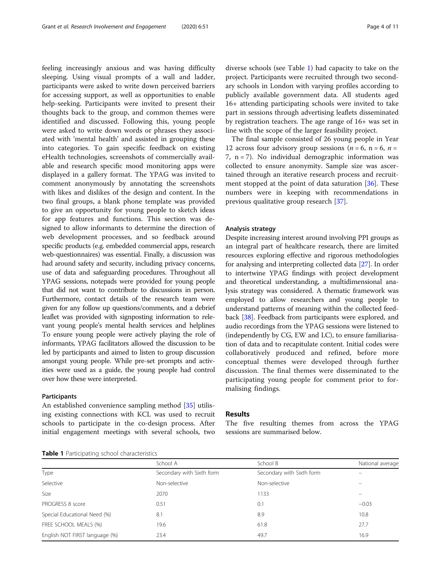feeling increasingly anxious and was having difficulty sleeping. Using visual prompts of a wall and ladder, participants were asked to write down perceived barriers for accessing support, as well as opportunities to enable help-seeking. Participants were invited to present their thoughts back to the group, and common themes were identified and discussed. Following this, young people were asked to write down words or phrases they associated with 'mental health' and assisted in grouping these into categories. To gain specific feedback on existing eHealth technologies, screenshots of commercially available and research specific mood monitoring apps were displayed in a gallery format. The YPAG was invited to comment anonymously by annotating the screenshots with likes and dislikes of the design and content. In the two final groups, a blank phone template was provided to give an opportunity for young people to sketch ideas for app features and functions. This section was designed to allow informants to determine the direction of web development processes, and so feedback around specific products (e.g. embedded commercial apps, research web-questionnaires) was essential. Finally, a discussion was had around safety and security, including privacy concerns, use of data and safeguarding procedures. Throughout all YPAG sessions, notepads were provided for young people that did not want to contribute to discussions in person. Furthermore, contact details of the research team were given for any follow up questions/comments, and a debrief leaflet was provided with signposting information to relevant young people's mental health services and helplines To ensure young people were actively playing the role of informants, YPAG facilitators allowed the discussion to be led by participants and aimed to listen to group discussion amongst young people. While pre-set prompts and activities were used as a guide, the young people had control over how these were interpreted.

#### Participants

An established convenience sampling method [[35\]](#page-9-0) utilising existing connections with KCL was used to recruit schools to participate in the co-design process. After initial engagement meetings with several schools, two

Table 1 Participating school characteristics

diverse schools (see Table 1) had capacity to take on the project. Participants were recruited through two secondary schools in London with varying profiles according to publicly available government data. All students aged 16+ attending participating schools were invited to take part in sessions through advertising leaflets disseminated by registration teachers. The age range of 16+ was set in line with the scope of the larger feasibility project.

The final sample consisted of 26 young people in Year 12 across four advisory group sessions ( $n = 6$ ,  $n = 6$ ,  $n = 1$ ) 7,  $n = 7$ ). No individual demographic information was collected to ensure anonymity. Sample size was ascertained through an iterative research process and recruitment stopped at the point of data saturation [[36\]](#page-9-0). These numbers were in keeping with recommendations in previous qualitative group research [[37](#page-9-0)].

#### Analysis strategy

Despite increasing interest around involving PPI groups as an integral part of healthcare research, there are limited resources exploring effective and rigorous methodologies for analysing and interpreting collected data [[27](#page-9-0)]. In order to intertwine YPAG findings with project development and theoretical understanding, a multidimensional analysis strategy was considered. A thematic framework was employed to allow researchers and young people to understand patterns of meaning within the collected feedback [[38](#page-10-0)]. Feedback from participants were explored, and audio recordings from the YPAG sessions were listened to (independently by CG, EW and LC), to ensure familiarisation of data and to recapitulate content. Initial codes were collaboratively produced and refined, before more conceptual themes were developed through further discussion. The final themes were disseminated to the participating young people for comment prior to formalising findings.

# Results

The five resulting themes from across the YPAG sessions are summarised below.

|                                | School A                  | School B                  | National average |
|--------------------------------|---------------------------|---------------------------|------------------|
| Type                           | Secondary with Sixth form | Secondary with Sixth form |                  |
| Selective                      | Non-selective             | Non-selective             |                  |
| Size                           | 2070                      | 1133                      |                  |
| PROGRESS 8 score               | 0.51                      | 0.1                       | $-0.03$          |
| Special Educational Need (%)   | 8.1                       | 8.9                       | 10.8             |
| FREE SCHOOL MEALS (%)          | 19.6                      | 61.8                      | 27.7             |
| English NOT FIRST language (%) | 23.4                      | 49.7                      | 16.9             |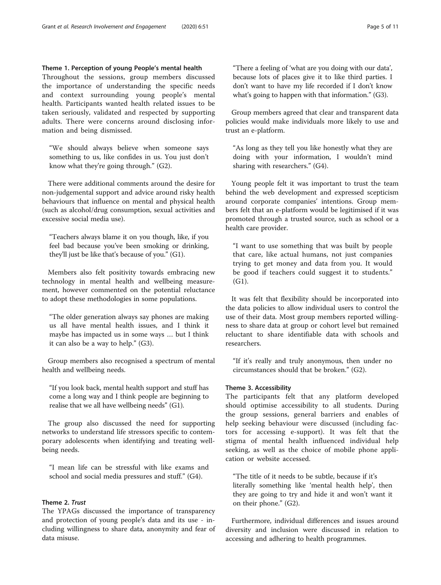# Theme 1. Perception of young People's mental health

Throughout the sessions, group members discussed the importance of understanding the specific needs and context surrounding young people's mental health. Participants wanted health related issues to be taken seriously, validated and respected by supporting adults. There were concerns around disclosing information and being dismissed.

"We should always believe when someone says something to us, like confides in us. You just don't know what they're going through." (G2).

There were additional comments around the desire for non-judgemental support and advice around risky health behaviours that influence on mental and physical health (such as alcohol/drug consumption, sexual activities and excessive social media use).

"Teachers always blame it on you though, like, if you feel bad because you've been smoking or drinking, they'll just be like that's because of you." (G1).

Members also felt positivity towards embracing new technology in mental health and wellbeing measurement, however commented on the potential reluctance to adopt these methodologies in some populations.

"The older generation always say phones are making us all have mental health issues, and I think it maybe has impacted us in some ways … but I think it can also be a way to help." (G3).

Group members also recognised a spectrum of mental health and wellbeing needs.

"If you look back, mental health support and stuff has come a long way and I think people are beginning to realise that we all have wellbeing needs" (G1).

The group also discussed the need for supporting networks to understand life stressors specific to contemporary adolescents when identifying and treating wellbeing needs.

"I mean life can be stressful with like exams and school and social media pressures and stuff." (G4).

# Theme 2. Trust

The YPAGs discussed the importance of transparency and protection of young people's data and its use - including willingness to share data, anonymity and fear of data misuse.

"There a feeling of 'what are you doing with our data', because lots of places give it to like third parties. I don't want to have my life recorded if I don't know what's going to happen with that information." (G3).

Group members agreed that clear and transparent data policies would make individuals more likely to use and trust an e-platform.

"As long as they tell you like honestly what they are doing with your information, I wouldn't mind sharing with researchers." (G4).

Young people felt it was important to trust the team behind the web development and expressed scepticism around corporate companies' intentions. Group members felt that an e-platform would be legitimised if it was promoted through a trusted source, such as school or a health care provider.

"I want to use something that was built by people that care, like actual humans, not just companies trying to get money and data from you. It would be good if teachers could suggest it to students."  $(G1)$ .

It was felt that flexibility should be incorporated into the data policies to allow individual users to control the use of their data. Most group members reported willingness to share data at group or cohort level but remained reluctant to share identifiable data with schools and researchers.

"If it's really and truly anonymous, then under no circumstances should that be broken." (G2).

# Theme 3. Accessibility

The participants felt that any platform developed should optimise accessibility to all students. During the group sessions, general barriers and enables of help seeking behaviour were discussed (including factors for accessing e-support). It was felt that the stigma of mental health influenced individual help seeking, as well as the choice of mobile phone application or website accessed.

"The title of it needs to be subtle, because if it's literally something like 'mental health help', then they are going to try and hide it and won't want it on their phone." (G2).

Furthermore, individual differences and issues around diversity and inclusion were discussed in relation to accessing and adhering to health programmes.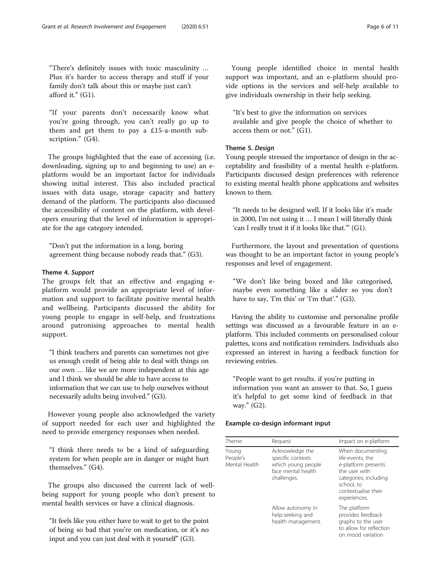"There's definitely issues with toxic masculinity … Plus it's harder to access therapy and stuff if your family don't talk about this or maybe just can't afford it." (G1).

"If your parents don't necessarily know what you're going through, you can't really go up to them and get them to pay a £15-a-month subscription." (G4).

The groups highlighted that the ease of accessing (i.e. downloading, signing up to and beginning to use) an eplatform would be an important factor for individuals showing initial interest. This also included practical issues with data usage, storage capacity and battery demand of the platform. The participants also discussed the accessibility of content on the platform, with developers ensuring that the level of information is appropriate for the age category intended.

"Don't put the information in a long, boring agreement thing because nobody reads that." (G3).

#### Theme 4. Support

The groups felt that an effective and engaging eplatform would provide an appropriate level of information and support to facilitate positive mental health and wellbeing. Participants discussed the ability for young people to engage in self-help, and frustrations around patronising approaches to mental health support.

"I think teachers and parents can sometimes not give us enough credit of being able to deal with things on our own … like we are more independent at this age and I think we should be able to have access to information that we can use to help ourselves without necessarily adults being involved." (G3).

However young people also acknowledged the variety of support needed for each user and highlighted the need to provide emergency responses when needed.

"I think there needs to be a kind of safeguarding system for when people are in danger or might hurt themselves." (G4).

The groups also discussed the current lack of wellbeing support for young people who don't present to mental health services or have a clinical diagnosis.

"It feels like you either have to wait to get to the point of being so bad that you're on medication, or it's no input and you can just deal with it yourself" (G3).

Young people identified choice in mental health support was important, and an e-platform should provide options in the services and self-help available to give individuals ownership in their help seeking.

"It's best to give the information on services available and give people the choice of whether to access them or not." (G1).

# Theme 5. Design

Young people stressed the importance of design in the acceptability and feasibility of a mental health e-platform. Participants discussed design preferences with reference to existing mental health phone applications and websites known to them.

"It needs to be designed well. If it looks like it's made in 2000, I'm not using it … I mean I will literally think 'can I really trust it if it looks like that.'" (G1).

Furthermore, the layout and presentation of questions was thought to be an important factor in young people's responses and level of engagement.

"We don't like being boxed and like categorised, maybe even something like a slider so you don't have to say, 'I'm this' or 'I'm that'." (G3).

Having the ability to customise and personalise profile settings was discussed as a favourable feature in an eplatform. This included comments on personalised colour palettes, icons and notification reminders. Individuals also expressed an interest in having a feedback function for reviewing entries.

"People want to get results. if you're putting in information you want an answer to that. So, I guess it's helpful to get some kind of feedback in that way." (G2).

# Example co-design informant input

| Theme                              | Request                                                                                         | Impact on e-platform                                                                                                                                       |
|------------------------------------|-------------------------------------------------------------------------------------------------|------------------------------------------------------------------------------------------------------------------------------------------------------------|
| Young<br>People's<br>Mental Health | Acknowledge the<br>specific contexts<br>which young people<br>face mental health<br>challenges. | When documenting<br>life-events, the<br>e-platform presents<br>the user with<br>categories, including<br>school, to<br>contextualise their<br>experiences. |
|                                    | Allow autonomy in<br>help-seeking and<br>health management.                                     | The platform<br>provides feedback<br>graphs to the user<br>to allow for reflection<br>on mood variation                                                    |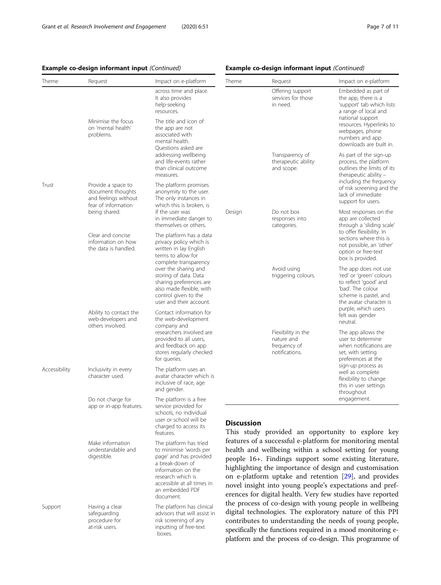Example co-design informant input (Continued)

# Example co-design informant input (Continued)

| Theme         | Request                                                                                | Impact on e-platform                                                                                                                                                                                                                                                                   | Theme                                                                                                                                                                                                                                                                                                                                                                                                                       | Request                                                            | Impact on e-platform                                                                                                                               |
|---------------|----------------------------------------------------------------------------------------|----------------------------------------------------------------------------------------------------------------------------------------------------------------------------------------------------------------------------------------------------------------------------------------|-----------------------------------------------------------------------------------------------------------------------------------------------------------------------------------------------------------------------------------------------------------------------------------------------------------------------------------------------------------------------------------------------------------------------------|--------------------------------------------------------------------|----------------------------------------------------------------------------------------------------------------------------------------------------|
|               |                                                                                        | across time and place.<br>It also provides<br>help-seeking<br>resources.                                                                                                                                                                                                               |                                                                                                                                                                                                                                                                                                                                                                                                                             | Offering support<br>services for those<br>in need.                 | Embedded as part of<br>the app, there is a<br>'support' tab which lists<br>a range of local and                                                    |
|               | Minimise the focus<br>on 'mental health'<br>problems.                                  | The title and icon of<br>the app are not<br>associated with<br>mental health.<br>Questions asked are<br>addressing wellbeing<br>and life-events rather<br>than clinical outcome<br>measures.                                                                                           |                                                                                                                                                                                                                                                                                                                                                                                                                             |                                                                    | national support<br>resources. Hyperlinks to<br>webpages, phone<br>numbers and app<br>downloads are built in.                                      |
|               |                                                                                        |                                                                                                                                                                                                                                                                                        |                                                                                                                                                                                                                                                                                                                                                                                                                             | Transparency of<br>therapeutic ability<br>and scope.               | As part of the sign-up<br>process, the platform<br>outlines the limits of its<br>therapeutic ability -                                             |
| Trust         | Provide a space to<br>document thoughts<br>and feelings without<br>fear of information | The platform promises<br>anonymity to the user.<br>The only instances in<br>which this is broken, is                                                                                                                                                                                   |                                                                                                                                                                                                                                                                                                                                                                                                                             |                                                                    | including the frequency<br>of risk screening and the<br>lack of immediate<br>support for users.                                                    |
|               | being shared.                                                                          | if the user was<br>in immediate danger to<br>themselves or others.                                                                                                                                                                                                                     | Design                                                                                                                                                                                                                                                                                                                                                                                                                      | Do not box<br>responses into<br>categories.                        | Most responses on the<br>app are collected<br>through a 'sliding scale'<br>to offer flexibility. In                                                |
|               | Clear and concise<br>information on how<br>the data is handled.                        | The platform has a data<br>privacy policy which is<br>written in lay English<br>terms to allow for<br>complete transparency<br>over the sharing and<br>storing of data. Data<br>sharing preferences are<br>also made flexible, with<br>control given to the<br>user and their account. |                                                                                                                                                                                                                                                                                                                                                                                                                             |                                                                    | sections where this is<br>not possible, an 'other'<br>option or free-text<br>box is provided.                                                      |
|               |                                                                                        |                                                                                                                                                                                                                                                                                        |                                                                                                                                                                                                                                                                                                                                                                                                                             | Avoid using<br>triggering colours.                                 | The app does not use<br>'red' or 'green' colours<br>to reflect 'good' and<br>'bad'. The colour<br>scheme is pastel, and<br>the avatar character is |
|               | Ability to contact the<br>web-developers and<br>others involved.                       | Contact information for<br>the web-development<br>company and                                                                                                                                                                                                                          |                                                                                                                                                                                                                                                                                                                                                                                                                             |                                                                    | purple, which users<br>felt was gender<br>neutral.                                                                                                 |
|               |                                                                                        | researchers involved are<br>provided to all users,<br>and feedback on app<br>stores regularly checked<br>for queries.                                                                                                                                                                  |                                                                                                                                                                                                                                                                                                                                                                                                                             | Flexibility in the<br>nature and<br>frequency of<br>notifications. | The app allows the<br>user to determine<br>when notifications are<br>set, with setting<br>preferences at the                                       |
| Accessibility | Inclusivity in every<br>character used.                                                | The platform uses an<br>avatar character which is<br>inclusive of race, age<br>and gender.                                                                                                                                                                                             |                                                                                                                                                                                                                                                                                                                                                                                                                             |                                                                    | sign-up process as<br>well as complete<br>flexibility to change<br>this in user settings<br>throughout                                             |
|               | Do not charge for<br>app or in-app features.                                           | The platform is a free<br>service provided for<br>schools, no individual<br>user or school will be<br>charged to access its<br>features.                                                                                                                                               | <b>Discussion</b>                                                                                                                                                                                                                                                                                                                                                                                                           |                                                                    | engagement.<br>This study provided an opportunity to explore key                                                                                   |
|               | Make information<br>understandable and<br>digestible.                                  | The platform has tried<br>to minimise 'words per<br>page' and has provided<br>a break-down of<br>information on the<br>research which is<br>accessible at all times in<br>an embedded PDF<br>document.                                                                                 | features of a successful e-platform for monitoring mental<br>health and wellbeing within a school setting for young<br>people 16+. Findings support some existing literature,<br>highlighting the importance of design and customisation<br>on e-platform uptake and retention [29], and provides<br>novel insight into young people's expectations and pref-<br>erences for digital health. Very few studies have reported |                                                                    |                                                                                                                                                    |

# Support Having a clear safeguarding procedure for at-risk users.

The platform has clinical advisors that will assist in risk screening of any inputting of free-text boxes.

features of a successful e-platform for monitoring mental health and wellbeing within a school setting for young people 16+. Findings support some existing literature, highlighting the importance of design and customisation on e-platform uptake and retention [[29](#page-9-0)], and provides novel insight into young people's expectations and preferences for digital health. Very few studies have reported the process of co-design with young people in wellbeing digital technologies. The exploratory nature of this PPI contributes to understanding the needs of young people, specifically the functions required in a mood monitoring eplatform and the process of co-design. This programme of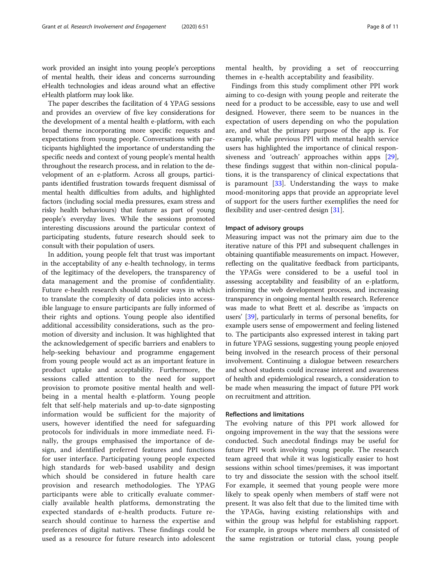work provided an insight into young people's perceptions of mental health, their ideas and concerns surrounding eHealth technologies and ideas around what an effective eHealth platform may look like.

The paper describes the facilitation of 4 YPAG sessions and provides an overview of five key considerations for the development of a mental health e-platform, with each broad theme incorporating more specific requests and expectations from young people. Conversations with participants highlighted the importance of understanding the specific needs and context of young people's mental health throughout the research process, and in relation to the development of an e-platform. Across all groups, participants identified frustration towards frequent dismissal of mental health difficulties from adults, and highlighted factors (including social media pressures, exam stress and risky health behaviours) that feature as part of young people's everyday lives. While the sessions promoted interesting discussions around the particular context of participating students, future research should seek to consult with their population of users.

In addition, young people felt that trust was important in the acceptability of any e-health technology, in terms of the legitimacy of the developers, the transparency of data management and the promise of confidentiality. Future e-health research should consider ways in which to translate the complexity of data policies into accessible language to ensure participants are fully informed of their rights and options. Young people also identified additional accessibility considerations, such as the promotion of diversity and inclusion. It was highlighted that the acknowledgement of specific barriers and enablers to help-seeking behaviour and programme engagement from young people would act as an important feature in product uptake and acceptability. Furthermore, the sessions called attention to the need for support provision to promote positive mental health and wellbeing in a mental health e-platform. Young people felt that self-help materials and up-to-date signposting information would be sufficient for the majority of users, however identified the need for safeguarding protocols for individuals in more immediate need. Finally, the groups emphasised the importance of design, and identified preferred features and functions for user interface. Participating young people expected high standards for web-based usability and design which should be considered in future health care provision and research methodologies. The YPAG participants were able to critically evaluate commercially available health platforms, demonstrating the expected standards of e-health products. Future research should continue to harness the expertise and preferences of digital natives. These findings could be used as a resource for future research into adolescent

mental health, by providing a set of reoccurring themes in e-health acceptability and feasibility.

Findings from this study compliment other PPI work aiming to co-design with young people and reiterate the need for a product to be accessible, easy to use and well designed. However, there seem to be nuances in the expectation of users depending on who the population are, and what the primary purpose of the app is. For example, while previous PPI with mental health service users has highlighted the importance of clinical responsiveness and 'outreach' approaches within apps [\[29](#page-9-0)], these findings suggest that within non-clinical populations, it is the transparency of clinical expectations that is paramount  $[33]$  $[33]$ . Understanding the ways to make mood-monitoring apps that provide an appropriate level of support for the users further exemplifies the need for flexibility and user-centred design [[31\]](#page-9-0).

#### Impact of advisory groups

Measuring impact was not the primary aim due to the iterative nature of this PPI and subsequent challenges in obtaining quantifiable measurements on impact. However, reflecting on the qualitative feedback from participants, the YPAGs were considered to be a useful tool in assessing acceptability and feasibility of an e-platform, informing the web development process, and increasing transparency in ongoing mental health research. Reference was made to what Brett et al. describe as 'impacts on users' [\[39\]](#page-10-0), particularly in terms of personal benefits, for example users sense of empowerment and feeling listened to. The participants also expressed interest in taking part in future YPAG sessions, suggesting young people enjoyed being involved in the research process of their personal involvement. Continuing a dialogue between researchers and school students could increase interest and awareness of health and epidemiological research, a consideration to be made when measuring the impact of future PPI work on recruitment and attrition.

#### Reflections and limitations

The evolving nature of this PPI work allowed for ongoing improvement in the way that the sessions were conducted. Such anecdotal findings may be useful for future PPI work involving young people. The research team agreed that while it was logistically easier to host sessions within school times/premises, it was important to try and dissociate the session with the school itself. For example, it seemed that young people were more likely to speak openly when members of staff were not present. It was also felt that due to the limited time with the YPAGs, having existing relationships with and within the group was helpful for establishing rapport. For example, in groups where members all consisted of the same registration or tutorial class, young people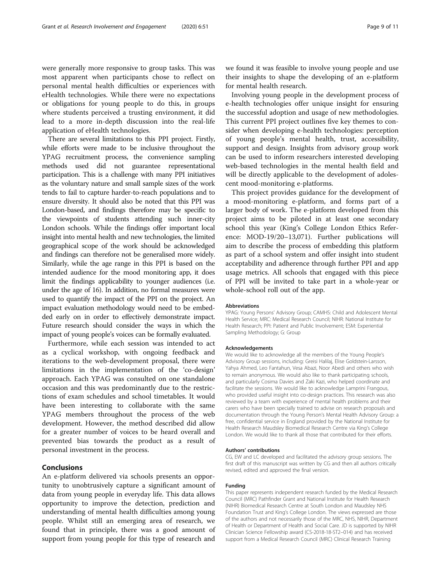were generally more responsive to group tasks. This was most apparent when participants chose to reflect on personal mental health difficulties or experiences with eHealth technologies. While there were no expectations or obligations for young people to do this, in groups where students perceived a trusting environment, it did lead to a more in-depth discussion into the real-life application of eHealth technologies.

There are several limitations to this PPI project. Firstly, while efforts were made to be inclusive throughout the YPAG recruitment process, the convenience sampling methods used did not guarantee representational participation. This is a challenge with many PPI initiatives as the voluntary nature and small sample sizes of the work tends to fail to capture harder-to-reach populations and to ensure diversity. It should also be noted that this PPI was London-based, and findings therefore may be specific to the viewpoints of students attending such inner-city London schools. While the findings offer important local insight into mental health and new technologies, the limited geographical scope of the work should be acknowledged and findings can therefore not be generalised more widely. Similarly, while the age range in this PPI is based on the intended audience for the mood monitoring app, it does limit the findings applicability to younger audiences (i.e. under the age of 16). In addition, no formal measures were used to quantify the impact of the PPI on the project. An impact evaluation methodology would need to be embedded early on in order to effectively demonstrate impact. Future research should consider the ways in which the impact of young people's voices can be formally evaluated.

Furthermore, while each session was intended to act as a cyclical workshop, with ongoing feedback and iterations to the web-development proposal, there were limitations in the implementation of the 'co-design' approach. Each YPAG was consulted on one standalone occasion and this was predominantly due to the restrictions of exam schedules and school timetables. It would have been interesting to collaborate with the same YPAG members throughout the process of the web development. However, the method described did allow for a greater number of voices to be heard overall and prevented bias towards the product as a result of personal investment in the process.

# Conclusions

An e-platform delivered via schools presents an opportunity to unobtrusively capture a significant amount of data from young people in everyday life. This data allows opportunity to improve the detection, prediction and understanding of mental health difficulties among young people. Whilst still an emerging area of research, we found that in principle, there was a good amount of support from young people for this type of research and

we found it was feasible to involve young people and use their insights to shape the developing of an e-platform for mental health research.

Involving young people in the development process of e-health technologies offer unique insight for ensuring the successful adoption and usage of new methodologies. This current PPI project outlines five key themes to consider when developing e-health technologies: perception of young people's mental health, trust, accessibility, support and design. Insights from advisory group work can be used to inform researchers interested developing web-based technologies in the mental health field and will be directly applicable to the development of adolescent mood-monitoring e-platforms.

This project provides guidance for the development of a mood-monitoring e-platform, and forms part of a larger body of work. The e-platform developed from this project aims to be piloted in at least one secondary school this year (King's College London Ethics Reference: MOD-19/20–13,071). Further publications will aim to describe the process of embedding this platform as part of a school system and offer insight into student acceptability and adherence through further PPI and app usage metrics. All schools that engaged with this piece of PPI will be invited to take part in a whole-year or whole-school roll out of the app.

#### Abbreviations

YPAG: Young Persons' Advisory Group; CAMHS: Child and Adolescent Mental Health Service; MRC: Medical Research Council; NIHR: National Institute for Health Research; PPI: Patient and Public Involvement; ESM: Experiential Sampling Methodology; G: Group

#### Acknowledgements

We would like to acknowledge all the members of the Young People's Advisory Group sessions, including: Greisi Halilaj, Elise Goldstein-Larsson, Yahya Ahmed, Leo Fantahun, Vesa Abazi, Noor Abedi and others who wish to remain anonymous. We would also like to thank participating schools, and particularly Cosima Davies and Zaki Kazi, who helped coordinate and facilitate the sessions. We would like to acknowledge Lamprini Frangous, who provided useful insight into co-design practices. This research was also reviewed by a team with experience of mental health problems and their carers who have been specially trained to advise on research proposals and documentation through the Young Person's Mental Health Advisory Group: a free, confidential service in England provided by the National Institute for Health Research Maudsley Biomedical Research Centre via King's College London. We would like to thank all those that contributed for their efforts.

#### Authors' contributions

CG, EW and LC developed and facilitated the advisory group sessions. The first draft of this manuscript was written by CG and then all authors critically revised, edited and approved the final version.

#### Funding

This paper represents independent research funded by the Medical Research Council (MRC) Pathfinder Grant and National Institute for Health Research (NIHR) Biomedical Research Centre at South London and Maudsley NHS Foundation Trust and King's College London. The views expressed are those of the authors and not necessarily those of the MRC, NHS, NIHR, Department of Health or Department of Health and Social Care. JD is supported by NIHR Clinician Science Fellowship award (CS-2018-18-ST2–014) and has received support from a Medical Research Council (MRC) Clinical Research Training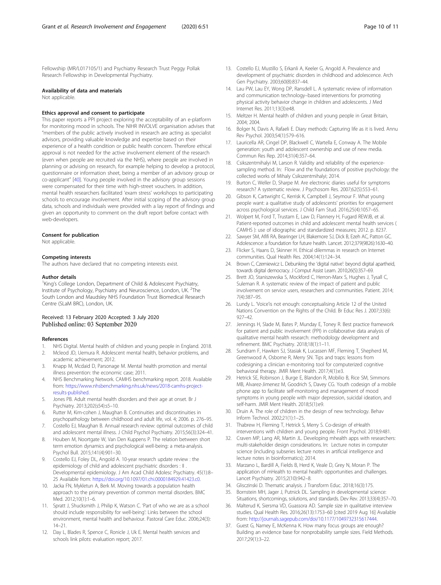<span id="page-9-0"></span>Fellowship (MR/L017105/1) and Psychiatry Research Trust Peggy Pollak Research Fellowship in Developmental Psychiatry.

#### Availability of data and materials

Not applicable

# Ethics approval and consent to participate

This paper reports a PPI project exploring the acceptability of an e-platform for monitoring mood in schools. The NIHR INVOLVE organisation advises that "members of the public actively involved in research are acting as specialist advisors, providing valuable knowledge and expertise based on their experience of a health condition or public health concern. Therefore ethical approval is not needed for the active involvement element of the research (even when people are recruited via the NHS), where people are involved in planning or advising on research, for example helping to develop a protocol, questionnaire or information sheet, being a member of an advisory group or co-applicant" [\[40](#page-10-0)]. Young people involved in the advisory group sessions were compensated for their time with high-street vouchers. In addition, mental health researchers facilitated 'exam stress' workshops to participating schools to encourage involvement. After initial scoping of the advisory group data, schools and individuals were provided with a lay report of findings and given an opportunity to comment on the draft report before contact with web-developers.

#### Consent for publication

Not applicable.

#### Competing interests

The authors have declared that no competing interests exist.

#### Author details

<sup>1</sup>King's College London, Department of Child & Adolescent Psychiatry, Institute of Psychology, Psychiatry and Neuroscience, London, UK. <sup>2</sup>The South London and Maudsley NHS Foundation Trust Biomedical Research Centre (SLaM BRC), London, UK.

# Received: 13 February 2020 Accepted: 3 July 2020 Published online: 03 September 2020

#### References

- 1. NHS Digital. Mental health of children and young people in England. 2018.
- 2. Mcleod JD, Uemura R. Adolescent mental health, behavior problems, and academic achievement; 2012.
- 3. Knapp M, Mcdaid D, Parsonage M. Mental health promotion and mental illness prevention: the economic case; 2011.
- 4. NHS Benchmarking Network. CAMHS benchmarking report. 2018. Available from: [https://www.nhsbenchmarking.nhs.uk/news/2018-camhs-project](https://www.nhsbenchmarking.nhs.uk/news/2018-camhs-project-results-published)[results-published.](https://www.nhsbenchmarking.nhs.uk/news/2018-camhs-project-results-published)
- 5. Jones PB. Adult mental health disorders and their age at onset. Br J Psychiatry. 2013;202(s54):s5–10.
- 6. Rutter M, Kim-cohen J, Maughan B. Continuities and discontinuities in psychopathology between childhood and adult life, vol. 4; 2006. p. 276–95.
- 7. Costello EJ, Maughan B. Annual research review: optimal outcomes of child and adolescent mental illness. J Child Psychol Psychiatry. 2015;56(3):324–41.
- 8. Houben M, Noortgate W, Van Den Kuppens P. The relation between short term emotion dynamics and psychological well-being: a meta-analysis. Psychol Bull. 2015;141(4):901–30.
- Costello EJ, Foley DL, Angold A. 10-year research update review : the epidemiology of child and adolescent psychiatric disorders : II . Developmental epidemiology. J Am Acad Child Adolesc Psychiatry. 45(1):8– 25 Available from: [https://doi.org/10.1097/01.chi.0000184929.41423.c0.](https://doi.org/10.1097/01.chi.0000184929.41423.c0)
- 10. Jacka FN, Mykletun A, Berk M. Moving towards a population health approach to the primary prevention of common mental disorders. BMC Med. 2012;10(1):1–6.
- 11. Spratt J, Shucksmith J, Philip K, Watson C. 'Part of who we are as a school should include responsibility for well-being': Links between the school environment, mental health and behaviour. Pastoral Care Educ. 2006;24(3): 14–21.
- 12. Day L, Blades R, Spence C, Ronicle J, Uk E. Mental health services and schools link pilots: evaluation report; 2017.
- 13. Costello EJ, Mustillo S, Erkanli A, Keeler G, Angold A. Prevalence and development of psychiatric disorders in childhood and adolescence. Arch Gen Psychiatry. 2003;60(8):837–44.
- 14. Lau PW, Lau EY, Wong DP, Ransdell L. A systematic review of information and communication technology–based interventions for promoting physical activity behavior change in children and adolescents. J Med Internet Res. 2011;13(3):e48.
- 15. Meltzer H. Mental health of children and young people in Great Britain, 2004; 2004.
- 16. Bolger N, Davis A, Rafaeli E. Diary methods: Capturing life as it is lived. Annu Rev Psychol. 2003;54(1):579–616.
- 17. Lauricella AR, Cingel DP, Blackwell C, Wartella E, Conway A. The Mobile generation: youth and adolescent ownership and use of new media. Commun Res Rep. 2014;31(4):357–64.
- 18. Csikszentmihalyi M, Larson R. Validity and reliability of the experiencesampling method. In: Flow and the foundations of positive psychology: the collected works of Mihaly Csikszentmihalyi; 2014.
- 19. Burton C, Weller D, Sharpe M. Are electronic diaries useful for symptoms research? A systematic review. J Psychosom Res. 2007;62(5):553–61.
- 20. Gibson K, Cartwright C, Kerrisk K, Campbell J, Seymour F. What young people want: a qualitative study of adolescents' priorities for engagement across psychological services. J Child Fam Stud. 2016;25(4):1057–65.
- 21. Wolpert M, Ford T, Trustam E, Law D, Flannery H, Fugard REWJB, et al. Patient-reported outcomes in child and adolescent mental health services ( CAMHS ): use of idiographic and standardized measures; 2012. p. 8237.
- 22. Sawyer SM, Afifi RA, Bearinger LH, Blakemore SJ, Dick B, Ezeh AC, Patton GC. Adolescence: a foundation for future health. Lancet. 2012;379(9826):1630–40.
- 23. Flicker S, Haans D, Skinner H. Ethical dilemmas in research on Internet communities. Qual Health Res. 2004;14(1):124–34.
- 24. Brown C, Czerniewicz L. Debunking the 'digital native': beyond digital apartheid, towards digital democracy. J Comput Assist Learn. 2010;26(5):357–69.
- 25. Brett JO, Staniszewska S, Mockford C, Herron-Marx S, Hughes J, Tysall C, Suleman R. A systematic review of the impact of patient and public involvement on service users, researchers and communities. Patient. 2014; 7(4):387–95.
- 26. Lundy L. 'Voice'is not enough: conceptualising Article 12 of the United Nations Convention on the Rights of the Child. Br Educ Res J. 2007;33(6): 927–42.
- 27. Jennings H, Slade M, Bates P, Munday E, Toney R. Best practice framework for patient and public involvement (PPI) in collaborative data analysis of qualitative mental health research: methodology development and refinement. BMC Psychiatry. 2018;18(1):1–11.
- Sundram F, Hawken SJ, Stasiak K, Lucassen MF, Fleming T, Shepherd M, Greenwood A, Osborne R, Merry SN. Tips and traps: lessons from codesigning a clinician e-monitoring tool for computerized cognitive behavioral therapy. JMIR Ment Health. 2017;4(1):e3.
- 29. Hetrick SE, Robinson J, Burge E, Blandon R, Mobilio B, Rice SM, Simmons MB, Alvarez-Jimenez M, Goodrich S, Davey CG. Youth codesign of a mobile phone app to facilitate self-monitoring and management of mood symptoms in young people with major depression, suicidal ideation, and self-harm. JMIR Ment Health. 2018;5(1):e9.
- 30. Druin A. The role of children in the design of new technology. Behav Inform Technol. 2002;21(1):1–25.
- 31. Thabrew H, Fleming T, Hetrick S, Merry S. Co-design of eHealth interventions with children and young people. Front Psychol. 2018;9:481.
- 32. Craven MP, Lang AR, Martin JL. Developing mhealth apps with researchers: multi-stakeholder design considerations. In: Lecture notes in computer science (including subseries lecture notes in artificial intelligence and lecture notes in bioinformatics); 2014.
- 33. Marzano L, Bardill A, Fields B, Herd K, Veale D, Grey N, Moran P. The application of mHealth to mental health: opportunities and challenges. Lancet Psychiatry. 2015;2(10):942–8.
- 34. Glisczinski D. Thematic analysis. J Transform Educ. 2018;16(3):175.
- 35. Bornstein MH, Jager J, Putnick DL. Sampling in developmental science: Situations, shortcomings, solutions, and standards. Dev Rev. 2013;33(4):357–70.
- 36. Malterud K, Siersma VD, Guassora AD. Sample size in qualitative interview studies. Qual Health Res. 2016;26(13):1753–60 [cited 2019 Aug 16] Available from: [http://journals.sagepub.com/doi/10.1177/1049732315617444.](http://journals.sagepub.com/doi/10.1177/1049732315617444)
- 37. Guest G, Namey E, McKenna K. How many focus groups are enough? Building an evidence base for nonprobability sample sizes. Field Methods. 2017;29(1):3–22.